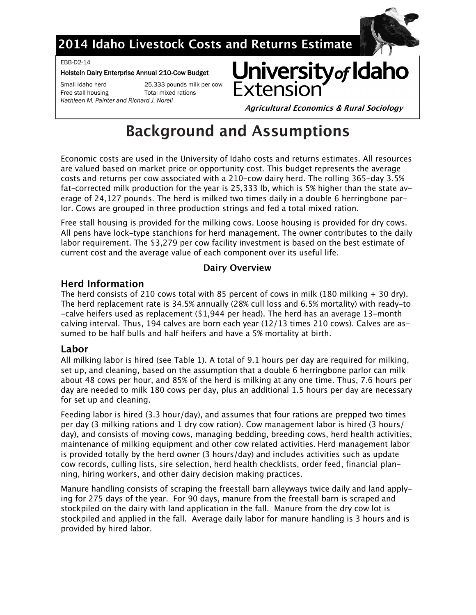

## 2014 Idaho Livestock Costs and Returns Estimate

EBB-D2-14

#### Holstein Dairy Enterprise Annual 210-Cow Budget

Small Idaho herd Free stall housing Kathleen M. Painter and Richard J. Norell

25,333 pounds milk per cow Total mixed rations

University of Idaho Extensic

**Agricultural Economics & Rural Sociology** 

# **Background and Assumptions**

Economic costs are used in the University of Idaho costs and returns estimates. All resources are valued based on market price or opportunity cost. This budget represents the average costs and returns per cow associated with a 210-cow dairy herd. The rolling 365-day 3.5% fat-corrected milk production for the year is 25,333 lb, which is 5% higher than the state average of 24,127 pounds. The herd is milked two times daily in a double 6 herringbone parlor. Cows are grouped in three production strings and fed a total mixed ration.

Free stall housing is provided for the milking cows. Loose housing is provided for dry cows. All pens have lock-type stanchions for herd management. The owner contributes to the daily labor requirement. The \$3,279 per cow facility investment is based on the best estimate of current cost and the average value of each component over its useful life.

## **Dairy Overview**

## **Herd Information**

The herd consists of 210 cows total with 85 percent of cows in milk (180 milking  $+$  30 dry). The herd replacement rate is 34.5% annually (28% cull loss and 6.5% mortality) with ready-to -calve heifers used as replacement  $(1,944$  per head). The herd has an average 13-month calving interval. Thus, 194 calves are born each year (12/13 times 210 cows). Calves are assumed to be half bulls and half heifers and have a 5% mortality at birth.

## Labor

All milking labor is hired (see Table 1). A total of 9.1 hours per day are required for milking, set up, and cleaning, based on the assumption that a double 6 herringbone parlor can milk about 48 cows per hour, and 85% of the herd is milking at any one time. Thus, 7.6 hours per day are needed to milk 180 cows per day, plus an additional 1.5 hours per day are necessary for set up and cleaning.

Feeding labor is hired (3.3 hour/day), and assumes that four rations are prepped two times per day (3 milking rations and 1 dry cow ration). Cow management labor is hired (3 hours/ day), and consists of moving cows, managing bedding, breeding cows, herd health activities, maintenance of milking equipment and other cow related activities. Herd management labor is provided totally by the herd owner (3 hours/day) and includes activities such as update cow records, culling lists, sire selection, herd health checklists, order feed, financial planning, hiring workers, and other dairy decision making practices.

Manure handling consists of scraping the freestall barn alleyways twice daily and land applying for 275 days of the year. For 90 days, manure from the freestall barn is scraped and stockpiled on the dairy with land application in the fall. Manure from the dry cow lot is stockpiled and applied in the fall. Average daily labor for manure handling is 3 hours and is provided by hired labor.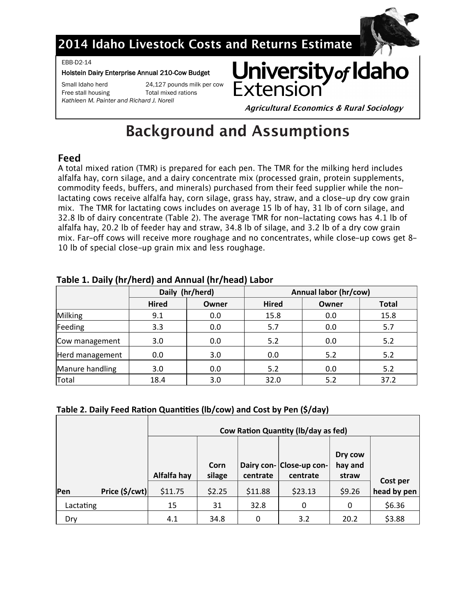

## 2014 Idaho Livestock Costs and Returns Estimate

EBB-D2-14

#### Holstein Dairy Enterprise Annual 210-Cow Budget

Free stall housing Total mixed rations

Small Idaho herd 24,127 pounds milk per cow

*Kathleen M. Painter and Richard J. Norell*



**Agricultural Economics & Rural Sociology** 

# **Background and Assumptions**

## Feed

A total mixed ration (TMR) is prepared for each pen. The TMR for the milking herd includes alfalfa hay, corn silage, and a dairy concentrate mix (processed grain, protein supplements, commodity feeds, buffers, and minerals) purchased from their feed supplier while the nonlactating cows receive alfalfa hay, corn silage, grass hay, straw, and a close-up dry cow grain mix. The TMR for lactating cows includes on average 15 lb of hay, 31 lb of corn silage, and 32.8 lb of dairy concentrate (Table 2). The average TMR for non-lactating cows has 4.1 lb of alfalfa hay, 20.2 lb of feeder hay and straw, 34.8 lb of silage, and 3.2 lb of a dry cow grain mix. Far-off cows will receive more roughage and no concentrates, while close-up cows get 8-10 lb of special close-up grain mix and less roughage.

|                 |              | Daily (hr/herd) | Annual labor (hr/cow) |       |              |  |  |  |
|-----------------|--------------|-----------------|-----------------------|-------|--------------|--|--|--|
|                 | <b>Hired</b> | Owner           | <b>Hired</b>          | Owner | <b>Total</b> |  |  |  |
| Milking         | 9.1          | 0.0             | 15.8                  | 0.0   | 15.8         |  |  |  |
| Feeding         | 3.3          | 0.0             | 5.7                   | 0.0   | 5.7          |  |  |  |
| Cow management  | 3.0          | 0.0             | 5.2                   | 0.0   | 5.2          |  |  |  |
| Herd management | 0.0          | 3.0             | 0.0                   | 5.2   | 5.2          |  |  |  |
| Manure handling | 3.0          | 0.0             | 5.2                   | 0.0   | 5.2          |  |  |  |
| Total           | 18.4         | 3.0             | 32.0                  | 5.2   | 37.2         |  |  |  |

### **Table 1. Daily (hr/herd) and Annual (hr/head) Labor**

### **Table 2. Daily Feed Ration Quantities (lb/cow) and Cost by Pen (\$/day)**

|           |                         | <b>Cow Ration Quantity (Ib/day as fed)</b> |                |          |                                      |                             |                         |  |  |  |
|-----------|-------------------------|--------------------------------------------|----------------|----------|--------------------------------------|-----------------------------|-------------------------|--|--|--|
|           |                         | Alfalfa hay                                | Corn<br>silage | centrate | Dairy con- Close-up con-<br>centrate | Dry cow<br>hay and<br>straw |                         |  |  |  |
| Pen       | Price $(\frac{5}{cwt})$ | \$11.75                                    | \$2.25         | \$11.88  | \$23.13                              | \$9.26                      | Cost per<br>head by pen |  |  |  |
| Lactating |                         | 15                                         | 31             | 32.8     | 0                                    | 0                           | \$6.36                  |  |  |  |
| Dry       |                         | 4.1                                        | 34.8           | 0        | 3.2                                  | 20.2                        | \$3.88                  |  |  |  |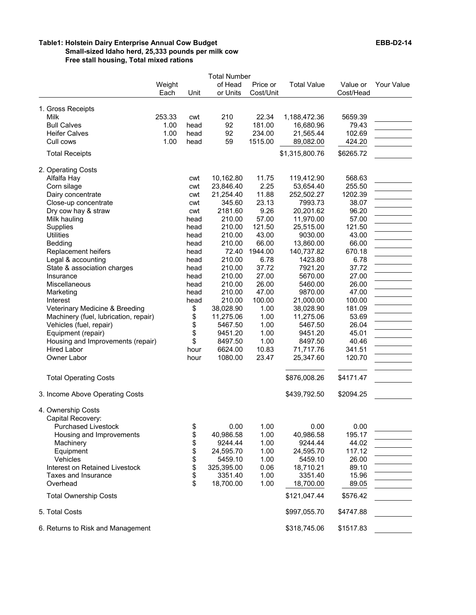#### **Table1: Holstein Dairy Enterprise Annual Cow Budget EBB-D2-14 Small-sized Idaho herd, 25,333 pounds per milk cow Free stall housing, Total mixed rations**

|                                                   |                |      | <b>Total Number</b> |                       |                    |                       |            |
|---------------------------------------------------|----------------|------|---------------------|-----------------------|--------------------|-----------------------|------------|
|                                                   | Weight<br>Each | Unit | of Head<br>or Units | Price or<br>Cost/Unit | <b>Total Value</b> | Value or<br>Cost/Head | Your Value |
| 1. Gross Receipts                                 |                |      |                     |                       |                    |                       |            |
| Milk                                              | 253.33         | cwt  | 210                 | 22.34                 | 1,188,472.36       | 5659.39               |            |
| <b>Bull Calves</b>                                | 1.00           | head | 92                  | 181.00                | 16,680.96          | 79.43                 |            |
| <b>Heifer Calves</b>                              | 1.00           | head | 92                  | 234.00                | 21,565.44          | 102.69                |            |
| Cull cows                                         | 1.00           | head | 59                  | 1515.00               | 89,082.00          | 424.20                |            |
| <b>Total Receipts</b>                             |                |      |                     |                       | \$1,315,800.76     | \$6265.72             |            |
| 2. Operating Costs                                |                |      |                     |                       |                    |                       |            |
| Alfalfa Hay                                       |                | cwt  | 10,162.80           | 11.75                 | 119,412.90         | 568.63                |            |
| Corn silage                                       |                | cwt  | 23,846.40           | 2.25                  | 53,654.40          | 255.50                |            |
| Dairy concentrate                                 |                | cwt  | 21,254.40           | 11.88                 | 252,502.27         | 1202.39               |            |
| Close-up concentrate                              |                | cwt  | 345.60              | 23.13                 | 7993.73            | 38.07                 |            |
| Dry cow hay & straw                               |                | cwt  | 2181.60             | 9.26                  | 20,201.62          | 96.20                 |            |
| Milk hauling                                      |                | head | 210.00              | 57.00                 | 11,970.00          | 57.00                 |            |
| Supplies                                          |                | head | 210.00              | 121.50                | 25,515.00          | 121.50                |            |
| <b>Utilities</b>                                  |                | head | 210.00              | 43.00                 | 9030.00            | 43.00                 |            |
| Bedding                                           |                | head | 210.00              | 66.00                 | 13,860.00          | 66.00                 |            |
|                                                   |                | head | 72.40               | 1944.00               | 140,737.82         | 670.18                |            |
| Replacement heifers                               |                |      |                     |                       |                    |                       |            |
| Legal & accounting<br>State & association charges |                | head | 210.00              | 6.78                  | 1423.80<br>7921.20 | 6.78                  |            |
|                                                   |                | head | 210.00              | 37.72                 |                    | 37.72                 |            |
| Insurance                                         |                | head | 210.00              | 27.00                 | 5670.00            | 27.00                 |            |
| Miscellaneous                                     |                | head | 210.00              | 26.00                 | 5460.00            | 26.00                 |            |
| Marketing                                         |                | head | 210.00              | 47.00                 | 9870.00            | 47.00                 |            |
| Interest                                          |                | head | 210.00              | 100.00                | 21,000.00          | 100.00                |            |
| Veterinary Medicine & Breeding                    |                | \$   | 38,028.90           | 1.00                  | 38,028.90          | 181.09                |            |
| Machinery (fuel, lubrication, repair)             |                | \$   | 11,275.06           | 1.00                  | 11,275.06          | 53.69                 |            |
| Vehicles (fuel, repair)                           |                | \$   | 5467.50             | 1.00                  | 5467.50            | 26.04                 |            |
| Equipment (repair)                                |                | \$   | 9451.20             | 1.00                  | 9451.20            | 45.01                 |            |
| Housing and Improvements (repair)                 |                | \$   | 8497.50             | 1.00                  | 8497.50            | 40.46                 |            |
| <b>Hired Labor</b>                                |                | hour | 6624.00             | 10.83                 | 71,717.76          | 341.51                |            |
| Owner Labor                                       |                | hour | 1080.00             | 23.47                 | 25,347.60          | 120.70                |            |
| <b>Total Operating Costs</b>                      |                |      |                     |                       | \$876,008.26       | \$4171.47             |            |
| 3. Income Above Operating Costs                   |                |      |                     |                       | \$439,792.50       | \$2094.25             |            |
|                                                   |                |      |                     |                       |                    |                       |            |
| 4. Ownership Costs                                |                |      |                     |                       |                    |                       |            |
| Capital Recovery:                                 |                |      |                     |                       |                    |                       |            |
| <b>Purchased Livestock</b>                        |                | \$   | 0.00                | 1.00                  | 0.00               | 0.00                  |            |
| Housing and Improvements                          |                | \$   | 40,986.58           | 1.00                  | 40,986.58          | 195.17                |            |
| Machinery                                         |                | \$   | 9244.44             | 1.00                  | 9244.44            | 44.02                 |            |
| Equipment                                         |                | \$   | 24,595.70           | 1.00                  | 24,595.70          | 117.12                |            |
| Vehicles                                          |                | \$   | 5459.10             | 1.00                  | 5459.10            | 26.00                 |            |
| Interest on Retained Livestock                    |                | \$   | 325,395.00          | 0.06                  | 18,710.21          | 89.10                 |            |
| Taxes and Insurance                               |                | \$   | 3351.40             | 1.00                  | 3351.40            | 15.96                 |            |
| Overhead                                          |                | \$   | 18,700.00           | 1.00                  | 18,700.00          | 89.05                 |            |
| <b>Total Ownership Costs</b>                      |                |      |                     |                       | \$121,047.44       | \$576.42              |            |
| 5. Total Costs                                    |                |      |                     |                       | \$997,055.70       | \$4747.88             |            |
| 6. Returns to Risk and Management                 |                |      |                     |                       | \$318,745.06       | \$1517.83             |            |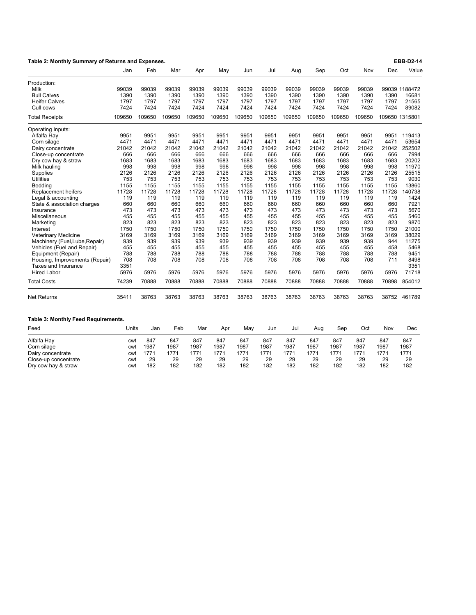| Table 2: Monthly Summary of Returns and Expenses. |        |        |        |        |        |        | EBB-D2-14 |        |        |        |        |       |                |
|---------------------------------------------------|--------|--------|--------|--------|--------|--------|-----------|--------|--------|--------|--------|-------|----------------|
|                                                   | Jan    | Feb    | Mar    | Apr    | May    | Jun    | Jul       | Aug    | Sep    | Oct    | Nov    | Dec   | Value          |
| Production:                                       |        |        |        |        |        |        |           |        |        |        |        |       |                |
| Milk                                              | 99039  | 99039  | 99039  | 99039  | 99039  | 99039  | 99039     | 99039  | 99039  | 99039  | 99039  |       | 99039 1188472  |
| <b>Bull Calves</b>                                | 1390   | 1390   | 1390   | 1390   | 1390   | 1390   | 1390      | 1390   | 1390   | 1390   | 1390   | 1390  | 16681          |
| <b>Heifer Calves</b>                              | 1797   | 1797   | 1797   | 1797   | 1797   | 1797   | 1797      | 1797   | 1797   | 1797   | 1797   | 1797  | 21565          |
| Cull cows                                         | 7424   | 7424   | 7424   | 7424   | 7424   | 7424   | 7424      | 7424   | 7424   | 7424   | 7424   | 7424  | 89082          |
| <b>Total Receipts</b>                             | 109650 | 109650 | 109650 | 109650 | 109650 | 109650 | 109650    | 109650 | 109650 | 109650 | 109650 |       | 109650 1315801 |
| Operating Inputs:                                 |        |        |        |        |        |        |           |        |        |        |        |       |                |
| Alfalfa Hay                                       | 9951   | 9951   | 9951   | 9951   | 9951   | 9951   | 9951      | 9951   | 9951   | 9951   | 9951   | 9951  | 119413         |
| Corn silage                                       | 4471   | 4471   | 4471   | 4471   | 4471   | 4471   | 4471      | 4471   | 4471   | 4471   | 4471   | 4471  | 53654          |
| Dairy concentrate                                 | 21042  | 21042  | 21042  | 21042  | 21042  | 21042  | 21042     | 21042  | 21042  | 21042  | 21042  | 21042 | 252502         |
| Close-up concentrate                              | 666    | 666    | 666    | 666    | 666    | 666    | 666       | 666    | 666    | 666    | 666    | 666   | 7994           |
| Dry cow hay & straw                               | 1683   | 1683   | 1683   | 1683   | 1683   | 1683   | 1683      | 1683   | 1683   | 1683   | 1683   | 1683  | 20202          |
| Milk hauling                                      | 998    | 998    | 998    | 998    | 998    | 998    | 998       | 998    | 998    | 998    | 998    | 998   | 11970          |
| Supplies                                          | 2126   | 2126   | 2126   | 2126   | 2126   | 2126   | 2126      | 2126   | 2126   | 2126   | 2126   | 2126  | 25515          |
| <b>Utilities</b>                                  | 753    | 753    | 753    | 753    | 753    | 753    | 753       | 753    | 753    | 753    | 753    | 753   | 9030           |
| Bedding                                           | 1155   | 1155   | 1155   | 1155   | 1155   | 1155   | 1155      | 1155   | 1155   | 1155   | 1155   | 1155  | 13860          |
| Replacement heifers                               | 11728  | 11728  | 11728  | 11728  | 11728  | 11728  | 11728     | 11728  | 11728  | 11728  | 11728  | 11728 | 140738         |
| Legal & accounting                                | 119    | 119    | 119    | 119    | 119    | 119    | 119       | 119    | 119    | 119    | 119    | 119   | 1424           |
| State & association charges                       | 660    | 660    | 660    | 660    | 660    | 660    | 660       | 660    | 660    | 660    | 660    | 660   | 7921           |
| Insurance                                         | 473    | 473    | 473    | 473    | 473    | 473    | 473       | 473    | 473    | 473    | 473    | 473   | 5670           |
| Miscellaneous                                     | 455    | 455    | 455    | 455    | 455    | 455    | 455       | 455    | 455    | 455    | 455    | 455   | 5460           |
| Marketing                                         | 823    | 823    | 823    | 823    | 823    | 823    | 823       | 823    | 823    | 823    | 823    | 823   | 9870           |
| Interest                                          | 1750   | 1750   | 1750   | 1750   | 1750   | 1750   | 1750      | 1750   | 1750   | 1750   | 1750   | 1750  | 21000          |
| <b>Veterinary Medicine</b>                        | 3169   | 3169   | 3169   | 3169   | 3169   | 3169   | 3169      | 3169   | 3169   | 3169   | 3169   | 3169  | 38029          |
| Machinery (Fuel, Lube, Repair)                    | 939    | 939    | 939    | 939    | 939    | 939    | 939       | 939    | 939    | 939    | 939    | 944   | 11275          |
| Vehicles (Fuel and Repair)                        | 455    | 455    | 455    | 455    | 455    | 455    | 455       | 455    | 455    | 455    | 455    | 458   | 5468           |
| Equipment (Repair)                                | 788    | 788    | 788    | 788    | 788    | 788    | 788       | 788    | 788    | 788    | 788    | 788   | 9451           |
| Housing, Improvements (Repair)                    | 708    | 708    | 708    | 708    | 708    | 708    | 708       | 708    | 708    | 708    | 708    | 711   | 8498           |
| Taxes and Insurance                               | 3351   |        |        |        |        |        |           |        |        |        |        |       | 3351           |
| <b>Hired Labor</b>                                | 5976   | 5976   | 5976   | 5976   | 5976   | 5976   | 5976      | 5976   | 5976   | 5976   | 5976   | 5976  | 71718          |
| <b>Total Costs</b>                                | 74239  | 70888  | 70888  | 70888  | 70888  | 70888  | 70888     | 70888  | 70888  | 70888  | 70888  | 70898 | 854012         |
| <b>Net Returns</b>                                | 35411  | 38763  | 38763  | 38763  | 38763  | 38763  | 38763     | 38763  | 38763  | 38763  | 38763  | 38752 | 461789         |
| Table 3: Monthly Feed Requirements.               |        |        |        |        |        |        |           |        |        |        |        |       |                |
| Feed                                              | Units  | Jan    | Feb    | Mar    | Apr    | May    | Jun       | Jul    | Aug    | Sep    | Oct    | Nov   | Dec            |
| Alfalfa Hay                                       | cwt    | 847    | 847    | 847    | 847    | 847    | 847       | 847    | 847    | 847    | 847    | 847   | 847            |
| Corn silage                                       | cwt    | 1987   | 1987   | 1987   | 1987   | 1987   | 1987      | 1987   | 1987   | 1987   | 1987   | 1987  | 1987           |
| Dairy concentrate                                 | cwt    | 1771   | 1771   | 1771   | 1771   | 1771   | 1771      | 1771   | 1771   | 1771   | 1771   | 1771  | 1771           |
| Close-up concentrate                              | cwt    | 29     | 29     | 29     | 29     | 29     | 29        | 29     | 29     | 29     | 29     | 29    | 29             |
| Dry cow hay & straw                               | cwt    | 182    | 182    | 182    | 182    | 182    | 182       | 182    | 182    | 182    | 182    | 182   | 182            |
|                                                   |        |        |        |        |        |        |           |        |        |        |        |       |                |